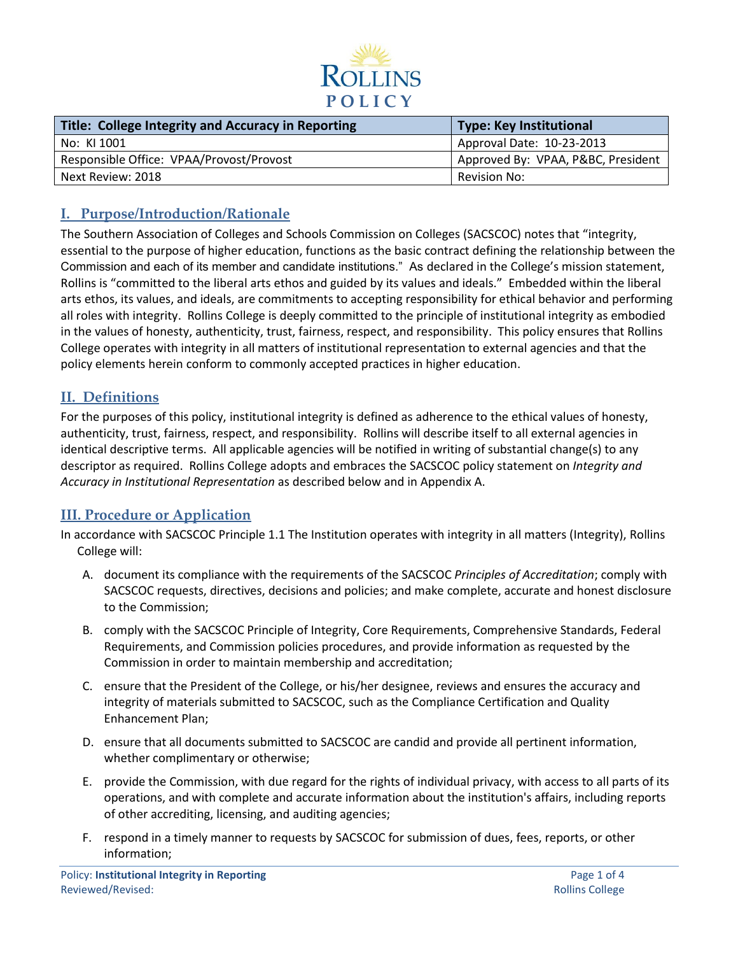

| Title: College Integrity and Accuracy in Reporting | Type: Key Institutional            |
|----------------------------------------------------|------------------------------------|
| No: KI 1001                                        | Approval Date: 10-23-2013          |
| Responsible Office: VPAA/Provost/Provost           | Approved By: VPAA, P&BC, President |
| Next Review: 2018                                  | Revision No:                       |

# **I. Purpose/Introduction/Rationale**

The Southern Association of Colleges and Schools Commission on Colleges (SACSCOC) notes that "integrity, essential to the purpose of higher education, functions as the basic contract defining the relationship between the Commission and each of its member and candidate institutions." As declared in the College's mission statement, Rollins is "committed to the liberal arts ethos and guided by its values and ideals." Embedded within the liberal arts ethos, its values, and ideals, are commitments to accepting responsibility for ethical behavior and performing all roles with integrity. Rollins College is deeply committed to the principle of institutional integrity as embodied in the values of honesty, authenticity, trust, fairness, respect, and responsibility. This policy ensures that Rollins College operates with integrity in all matters of institutional representation to external agencies and that the policy elements herein conform to commonly accepted practices in higher education.

## **II. Definitions**

For the purposes of this policy, institutional integrity is defined as adherence to the ethical values of honesty, authenticity, trust, fairness, respect, and responsibility. Rollins will describe itself to all external agencies in identical descriptive terms. All applicable agencies will be notified in writing of substantial change(s) to any descriptor as required. Rollins College adopts and embraces the SACSCOC policy statement on *Integrity and Accuracy in Institutional Representation* as described below and in Appendix A.

## **III. Procedure or Application**

In accordance with SACSCOC Principle 1.1 The Institution operates with integrity in all matters (Integrity), Rollins College will:

- A. document its compliance with the requirements of the SACSCOC *Principles of Accreditation*; comply with SACSCOC requests, directives, decisions and policies; and make complete, accurate and honest disclosure to the Commission;
- B. comply with the SACSCOC Principle of Integrity, Core Requirements, Comprehensive Standards, Federal Requirements, and Commission policies procedures, and provide information as requested by the Commission in order to maintain membership and accreditation;
- C. ensure that the President of the College, or his/her designee, reviews and ensures the accuracy and integrity of materials submitted to SACSCOC, such as the Compliance Certification and Quality Enhancement Plan;
- D. ensure that all documents submitted to SACSCOC are candid and provide all pertinent information, whether complimentary or otherwise;
- E. provide the Commission, with due regard for the rights of individual privacy, with access to all parts of its operations, and with complete and accurate information about the institution's affairs, including reports of other accrediting, licensing, and auditing agencies;
- F. respond in a timely manner to requests by SACSCOC for submission of dues, fees, reports, or other information;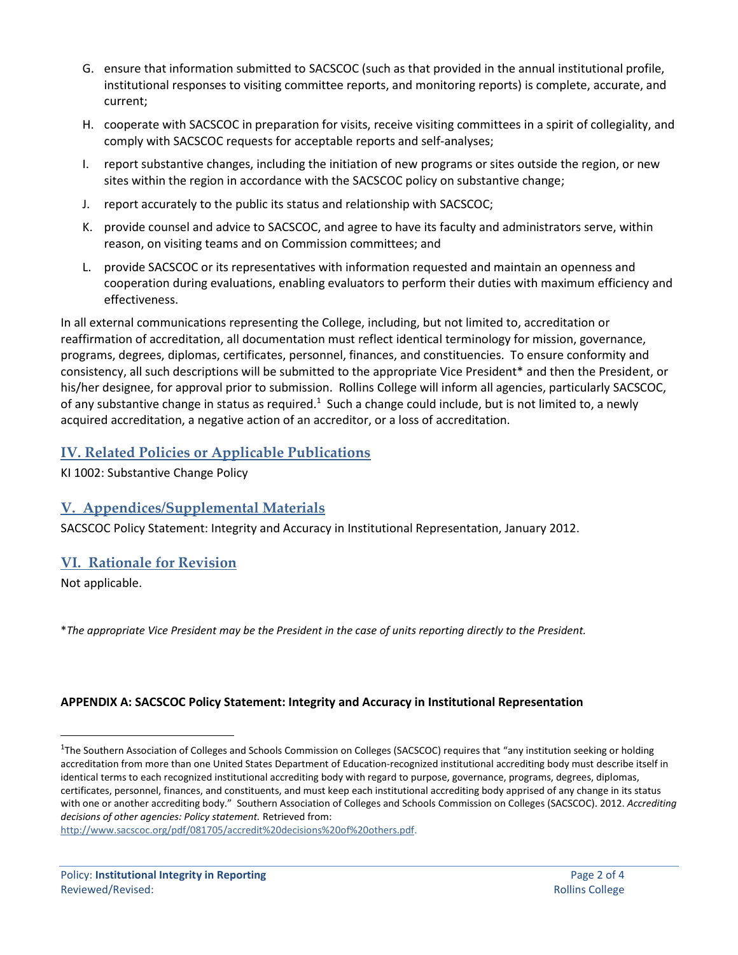- G. ensure that information submitted to SACSCOC (such as that provided in the annual institutional profile, institutional responses to visiting committee reports, and monitoring reports) is complete, accurate, and current;
- H. cooperate with SACSCOC in preparation for visits, receive visiting committees in a spirit of collegiality, and comply with SACSCOC requests for acceptable reports and self-analyses;
- I. report substantive changes, including the initiation of new programs or sites outside the region, or new sites within the region in accordance with the SACSCOC policy on substantive change;
- J. report accurately to the public its status and relationship with SACSCOC;
- K. provide counsel and advice to SACSCOC, and agree to have its faculty and administrators serve, within reason, on visiting teams and on Commission committees; and
- L. provide SACSCOC or its representatives with information requested and maintain an openness and cooperation during evaluations, enabling evaluators to perform their duties with maximum efficiency and effectiveness.

In all external communications representing the College, including, but not limited to, accreditation or reaffirmation of accreditation, all documentation must reflect identical terminology for mission, governance, programs, degrees, diplomas, certificates, personnel, finances, and constituencies. To ensure conformity and consistency, all such descriptions will be submitted to the appropriate Vice President\* and then the President, or his/her designee, for approval prior to submission. Rollins College will inform all agencies, particularly SACSCOC, of any substantive change in status as required.<sup>1</sup> Such a change could include, but is not limited to, a newly acquired accreditation, a negative action of an accreditor, or a loss of accreditation.

## **IV. Related Policies or Applicable Publications**

KI 1002: Substantive Change Policy

## **V. Appendices/Supplemental Materials**

SACSCOC Policy Statement: Integrity and Accuracy in Institutional Representation, January 2012.

#### **VI. Rationale for Revision**

Not applicable.

 $\overline{a}$ 

\**The appropriate Vice President may be the President in the case of units reporting directly to the President.*

#### **APPENDIX A: SACSCOC Policy Statement: Integrity and Accuracy in Institutional Representation**

<sup>&</sup>lt;sup>1</sup>The Southern Association of Colleges and Schools Commission on Colleges (SACSCOC) requires that "any institution seeking or holding accreditation from more than one United States Department of Education-recognized institutional accrediting body must describe itself in identical terms to each recognized institutional accrediting body with regard to purpose, governance, programs, degrees, diplomas, certificates, personnel, finances, and constituents, and must keep each institutional accrediting body apprised of any change in its status with one or another accrediting body." Southern Association of Colleges and Schools Commission on Colleges (SACSCOC). 2012. *Accrediting decisions of other agencies: Policy statement.* Retrieved from:

[http://www.sacscoc.org/pdf/081705/accredit%20decisions%20of%20others.pdf.](http://www.sacscoc.org/pdf/081705/accredit%20decisions%20of%20others.pdf)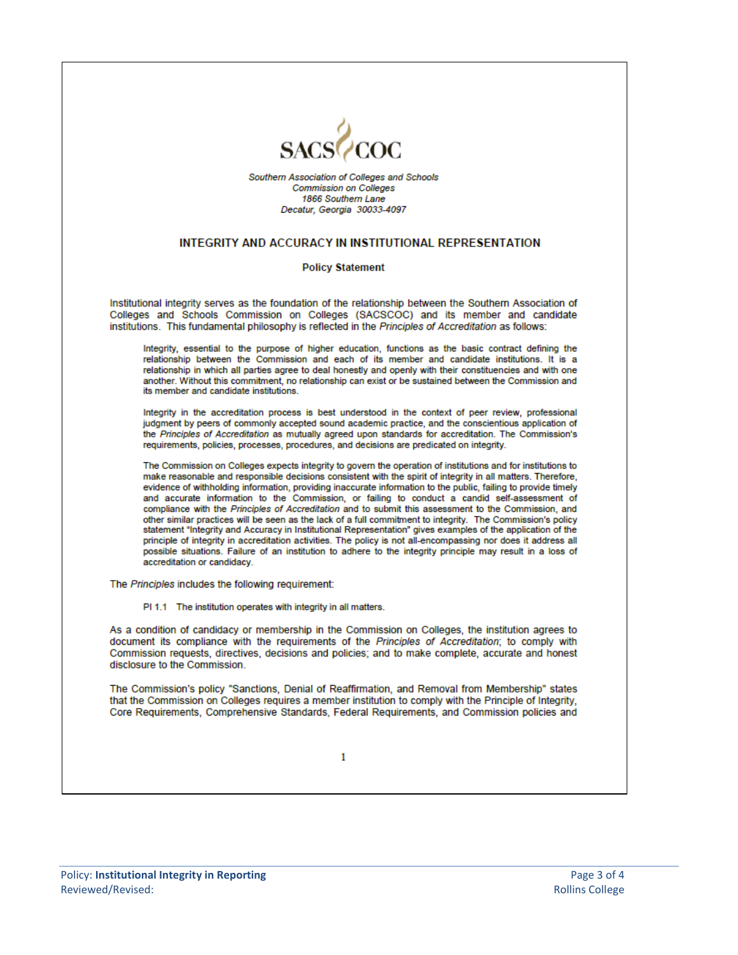

Southern Association of Colleges and Schools **Commission on Colleges** 1866 Southern Lane Decatur, Georgia 30033-4097

#### **INTEGRITY AND ACCURACY IN INSTITUTIONAL REPRESENTATION**

#### **Policy Statement**

Institutional integrity serves as the foundation of the relationship between the Southern Association of Colleges and Schools Commission on Colleges (SACSCOC) and its member and candidate institutions. This fundamental philosophy is reflected in the Principles of Accreditation as follows:

Integrity, essential to the purpose of higher education, functions as the basic contract defining the relationship between the Commission and each of its member and candidate institutions. It is a relationship in which all parties agree to deal honestly and openly with their constituencies and with one another. Without this commitment, no relationship can exist or be sustained between the Commission and its member and candidate institutions.

Integrity in the accreditation process is best understood in the context of peer review, professional judgment by peers of commonly accepted sound academic practice, and the conscientious application of the Principles of Accreditation as mutually agreed upon standards for accreditation. The Commission's requirements, policies, processes, procedures, and decisions are predicated on integrity.

The Commission on Colleges expects integrity to govern the operation of institutions and for institutions to make reasonable and responsible decisions consistent with the spirit of integrity in all matters. Therefore, evidence of withholding information, providing inaccurate information to the public, failing to provide timely and accurate information to the Commission, or failing to conduct a candid self-assessment of compliance with the Principles of Accreditation and to submit this assessment to the Commission, and other similar practices will be seen as the lack of a full commitment to integrity. The Commission's policy statement "Integrity and Accuracy in Institutional Representation" gives examples of the application of the principle of integrity in accreditation activities. The policy is not all-encompassing nor does it address all possible situations. Failure of an institution to adhere to the integrity principle may result in a loss of accreditation or candidacy.

The Principles includes the following requirement:

PI 1.1 The institution operates with integrity in all matters.

As a condition of candidacy or membership in the Commission on Colleges, the institution agrees to document its compliance with the requirements of the Principles of Accreditation; to comply with Commission requests, directives, decisions and policies; and to make complete, accurate and honest disclosure to the Commission.

The Commission's policy "Sanctions, Denial of Reaffirmation, and Removal from Membership" states that the Commission on Colleges requires a member institution to comply with the Principle of Integrity, Core Requirements, Comprehensive Standards, Federal Requirements, and Commission policies and

1